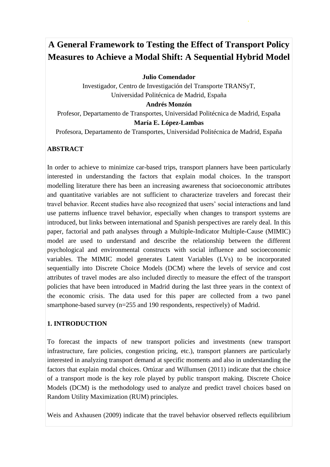# **A General Framework to Testing the Effect of Transport Policy Measures to Achieve a Modal Shift: A Sequential Hybrid Model**

**Julio Comendador**

Investigador, Centro de Investigación del Transporte TRANSyT, Universidad Politécnica de Madrid, España

**Andrés Monzón**

Profesor, Departamento de Transportes, Universidad Politécnica de Madrid, España **María E. López-Lambas** 

Profesora, Departamento de Transportes, Universidad Politécnica de Madrid, España

#### **ABSTRACT**

In order to achieve to minimize car-based trips, transport planners have been particularly interested in understanding the factors that explain modal choices. In the transport modelling literature there has been an increasing awareness that socioeconomic attributes and quantitative variables are not sufficient to characterize travelers and forecast their travel behavior. Recent studies have also recognized that users' social interactions and land use patterns influence travel behavior, especially when changes to transport systems are introduced, but links between international and Spanish perspectives are rarely deal. In this paper, factorial and path analyses through a Multiple-Indicator Multiple-Cause (MIMIC) model are used to understand and describe the relationship between the different psychological and environmental constructs with social influence and socioeconomic variables. The MIMIC model generates Latent Variables (LVs) to be incorporated sequentially into Discrete Choice Models (DCM) where the levels of service and cost attributes of travel modes are also included directly to measure the effect of the transport policies that have been introduced in Madrid during the last three years in the context of the economic crisis. The data used for this paper are collected from a two panel smartphone-based survey (n=255 and 190 respondents, respectively) of Madrid.

#### **1. INTRODUCTION**

To forecast the impacts of new transport policies and investments (new transport infrastructure, fare policies, congestion pricing, etc.), transport planners are particularly interested in analyzing transport demand at specific moments and also in understanding the factors that explain modal choices. Ortúzar and Willumsen (2011) indicate that the choice of a transport mode is the key role played by public transport making. Discrete Choice Models (DCM) is the methodology used to analyze and predict travel choices based on Random Utility Maximization (RUM) principles.

Weis and Axhausen (2009) indicate that the travel behavior observed reflects equilibrium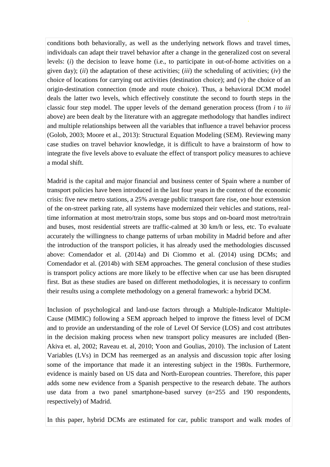conditions both behaviorally, as well as the underlying network flows and travel times, individuals can adapt their travel behavior after a change in the generalized cost on several levels: (*i*) the decision to leave home (i.e., to participate in out-of-home activities on a given day); (*ii*) the adaptation of these activities; (*iii*) the scheduling of activities; (*iv*) the choice of locations for carrying out activities (destination choice); and (*v*) the choice of an origin-destination connection (mode and route choice). Thus, a behavioral DCM model deals the latter two levels, which effectively constitute the second to fourth steps in the classic four step model. The upper levels of the demand generation process (from *i* to *iii* above) are been dealt by the literature with an aggregate methodology that handles indirect and multiple relationships between all the variables that influence a travel behavior process (Golob, 2003; Moore et al., 2013): Structural Equation Modeling (SEM). Reviewing many case studies on travel behavior knowledge, it is difficult to have a brainstorm of how to integrate the five levels above to evaluate the effect of transport policy measures to achieve a modal shift.

Madrid is the capital and major financial and business center of Spain where a number of transport policies have been introduced in the last four years in the context of the economic crisis: five new metro stations, a 25% average public transport fare rise, one hour extension of the on-street parking rate, all systems have modernized their vehicles and stations, realtime information at most metro/train stops, some bus stops and on-board most metro/train and buses, most residential streets are traffic-calmed at 30 km/h or less, etc. To evaluate accurately the willingness to change patterns of urban mobility in Madrid before and after the introduction of the transport policies, it has already used the methodologies discussed above: Comendador et al. (2014a) and Di Ciommo et al. (2014) using DCMs; and Comendador et al. (2014b) with SEM approaches. The general conclusion of these studies is transport policy actions are more likely to be effective when car use has been disrupted first. But as these studies are based on different methodologies, it is necessary to confirm their results using a complete methodology on a general framework: a hybrid DCM.

Inclusion of psychological and land-use factors through a Multiple-Indicator Multiple-Cause (MIMIC) following a SEM approach helped to improve the fitness level of DCM and to provide an understanding of the role of Level Of Service (LOS) and cost attributes in the decision making process when new transport policy measures are included (Ben-Akiva et. al, 2002; Raveau et. al, 2010; Yoon and Goulias, 2010). The inclusion of Latent Variables (LVs) in DCM has reemerged as an analysis and discussion topic after losing some of the importance that made it an interesting subject in the 1980s. Furthermore, evidence is mainly based on US data and North-European countries. Therefore, this paper adds some new evidence from a Spanish perspective to the research debate. The authors use data from a two panel smartphone-based survey (n=255 and 190 respondents, respectively) of Madrid.

In this paper, hybrid DCMs are estimated for car, public transport and walk modes of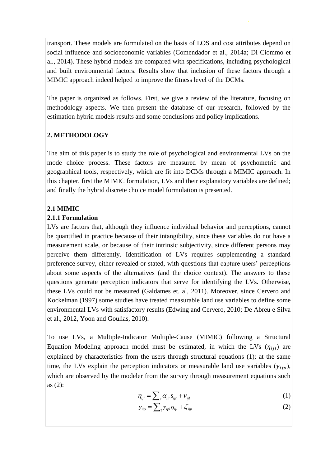transport. These models are formulated on the basis of LOS and cost attributes depend on social influence and socioeconomic variables (Comendador et al., 2014a; Di Ciommo et al., 2014). These hybrid models are compared with specifications, including psychological and built environmental factors. Results show that inclusion of these factors through a MIMIC approach indeed helped to improve the fitness level of the DCMs.

The paper is organized as follows. First, we give a review of the literature, focusing on methodology aspects. We then present the database of our research, followed by the estimation hybrid models results and some conclusions and policy implications.

## **2. METHODOLOGY**

The aim of this paper is to study the role of psychological and environmental LVs on the mode choice process. These factors are measured by mean of psychometric and geographical tools, respectively, which are fit into DCMs through a MIMIC approach. In this chapter, first the MIMIC formulation, LVs and their explanatory variables are defined; and finally the hybrid discrete choice model formulation is presented.

## **2.1 MIMIC**

## **2.1.1 Formulation**

LVs are factors that, although they influence individual behavior and perceptions, cannot be quantified in practice because of their intangibility, since these variables do not have a measurement scale, or because of their intrinsic subjectivity, since different persons may perceive them differently. Identification of LVs requires supplementing a standard preference survey, either revealed or stated, with questions that capture users' perceptions about some aspects of the alternatives (and the choice context). The answers to these questions generate perception indicators that serve for identifying the LVs. Otherwise, these LVs could not be measured (Galdames et. al, 2011). Moreover, since Cervero and Kockelman (1997) some studies have treated measurable land use variables to define some environmental LVs with satisfactory results (Edwing and Cervero, 2010; De Abreu e Silva et al., 2012, Yoon and Goulias, 2010).

To use LVs, a Multiple-Indicator Multiple-Cause (MIMIC) following a Structural Equation Modeling approach model must be estimated, in which the LVs  $(\eta_{ijl})$  are explained by characteristics from the users through structural equations (1); at the same time, the LVs explain the perception indicators or measurable land use variables  $(y_{ijn})$ , which are observed by the modeler from the survey through measurement equations such as (2):

$$
\eta_{ijl} = \sum_{r} \alpha_{ilr} s_{ijr} + v_{ijl} \tag{1}
$$

$$
y_{ijp} = \sum_{l} \gamma_{ipl} \eta_{ijl} + \zeta_{ijp} \tag{2}
$$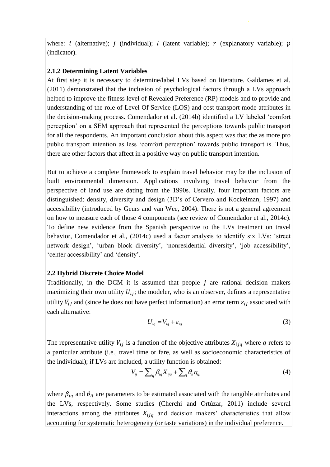where: *i* (alternative); *j* (individual); *l* (latent variable); *r* (explanatory variable); *p* (indicator).

#### **2.1.2 Determining Latent Variables**

At first step it is necessary to determine/label LVs based on literature. Galdames et al. (2011) demonstrated that the inclusion of psychological factors through a LVs approach helped to improve the fitness level of Revealed Preference (RP) models and to provide and understanding of the role of Level Of Service (LOS) and cost transport mode attributes in the decision-making process. Comendador et al. (2014b) identified a LV labeled 'comfort perception' on a SEM approach that represented the perceptions towards public transport for all the respondents. An important conclusion about this aspect was that the as more pro public transport intention as less 'comfort perception' towards public transport is. Thus, there are other factors that affect in a positive way on public transport intention.

But to achieve a complete framework to explain travel behavior may be the inclusion of built environmental dimension. Applications involving travel behavior from the perspective of land use are dating from the 1990s. Usually, four important factors are distinguished: density, diversity and design (3D's of Cervero and Kockelman, 1997) and accessibility (introduced by Geurs and van Wee, 2004). There is not a general agreement on how to measure each of those 4 components (see review of Comendador et al., 2014c). To define new evidence from the Spanish perspective to the LVs treatment on travel behavior, Comendador et al., (2014c) used a factor analysis to identify six LVs: 'street network design', 'urban block diversity', 'nonresidential diversity', 'job accessibility', 'center accessibility' and 'density'.

#### **2.2 Hybrid Discrete Choice Model**

Traditionally, in the DCM it is assumed that people  $j$  are rational decision makers maximizing their own utility  $U_{ij}$ ; the modeler, who is an observer, defines a representative utility  $V_{ij}$  and (since he does not have perfect information) an error term  $\varepsilon_{ij}$  associated with each alternative:

$$
U_{iq} = V_{iq} + \varepsilon_{iq} \tag{3}
$$

The representative utility  $V_{ij}$  is a function of the objective attributes  $X_{ijq}$  where q refers to a particular attribute (i.e., travel time or fare, as well as socioeconomic characteristics of the individual); if LVs are included, a utility function is obtained:<br> $V_{ij} = \sum_{q} \beta_{iq} X_{ijq} + \sum_{l} \theta_{il} \eta_{ijl}$ 

$$
V_{ij} = \sum_{q} \beta_{iq} X_{ijq} + \sum_{l} \theta_{il} \eta_{ijl} \tag{4}
$$

where  $\beta_{iq}$  and  $\theta_{il}$  are parameters to be estimated associated with the tangible attributes and the LVs, respectively. Some studies (Cherchi and Ortúzar, 2011) include several interactions among the attributes  $X_{ijq}$  and decision makers' characteristics that allow accounting for systematic heterogeneity (or taste variations) in the individual preference.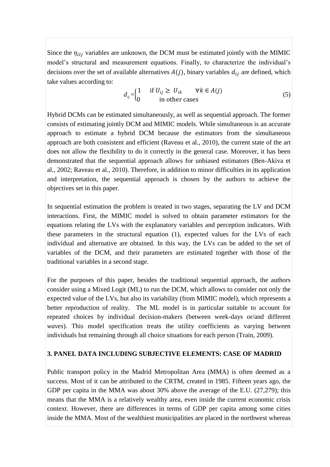Since the  $\eta_{ii}$  variables are unknown, the DCM must be estimated jointly with the MIMIC model's structural and measurement equations. Finally, to characterize the individual's decisions over the set of available alternatives  $A(j)$ , binary variables  $d_{ij}$  are defined, which take values according to:

$$
d_{ij} =\begin{cases} 1 & \text{if } U_{ij} \ge U_{ik} & \forall k \in A(j) \\ 0 & \text{in other cases} \end{cases}
$$
 (5)

Hybrid DCMs can be estimated simultaneously, as well as sequential approach. The former consists of estimating jointly DCM and MIMIC models. While simultaneous is an accurate approach to estimate a hybrid DCM because the estimators from the simultaneous approach are both consistent and efficient (Raveau et al., 2010), the current state of the art does not allow the flexibility to do it correctly in the general case. Moreover, it has been demonstrated that the sequential approach allows for unbiased estimators (Ben-Akiva et al., 2002; Raveau et al., 2010). Therefore, in addition to minor difficulties in its application and interpretation, the sequential approach is chosen by the authors to achieve the objectives set in this paper.

In sequential estimation the problem is treated in two stages, separating the LV and DCM interactions. First, the MIMIC model is solved to obtain parameter estimators for the equations relating the LVs with the explanatory variables and perception indicators. With these parameters in the structural equation (1), expected values for the LVs of each individual and alternative are obtained. In this way, the LVs can be added to the set of variables of the DCM, and their parameters are estimated together with those of the traditional variables in a second stage.

For the purposes of this paper, besides the traditional sequential approach, the authors consider using a Mixed Logit (ML) to run the DCM, which allows to consider not only the expected value of the LVs, but also its variability (from MIMIC model), which represents a better reproduction of reality. The ML model is in particular suitable to account for repeated choices by individual decision-makers (between week-days or/and different *waves*). This model specification treats the utility coefficients as varying between individuals but remaining through all choice situations for each person (Train, 2009).

#### **3. PANEL DATA INCLUDING SUBJECTIVE ELEMENTS: CASE OF MADRID**

Public transport policy in the Madrid Metropolitan Area (MMA) is often deemed as a success. Most of it can be attributed to the CRTM, created in 1985. Fifteen years ago, the GDP per capita in the MMA was about 30% above the average of the E.U. (27,279); this means that the MMA is a relatively wealthy area, even inside the current economic crisis context. However, there are differences in terms of GDP per capita among some cities inside the MMA. Most of the wealthiest municipalities are placed in the northwest whereas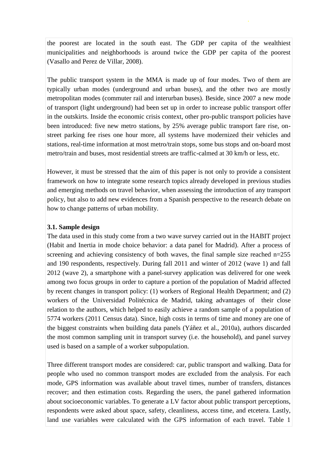the poorest are located in the south east. The GDP per capita of the wealthiest municipalities and neighborhoods is around twice the GDP per capita of the poorest (Vasallo and Perez de Villar, 2008).

The public transport system in the MMA is made up of four modes. Two of them are typically urban modes (underground and urban buses), and the other two are mostly metropolitan modes (commuter rail and interurban buses). Beside, since 2007 a new mode of transport (light underground) had been set up in order to increase public transport offer in the outskirts. Inside the economic crisis context, other pro-public transport policies have been introduced: five new metro stations, by 25% average public transport fare rise, onstreet parking fee rises one hour more, all systems have modernized their vehicles and stations, real-time information at most metro/train stops, some bus stops and on-board most metro/train and buses, most residential streets are traffic-calmed at 30 km/h or less, etc.

However, it must be stressed that the aim of this paper is not only to provide a consistent framework on how to integrate some research topics already developed in previous studies and emerging methods on travel behavior, when assessing the introduction of any transport policy, but also to add new evidences from a Spanish perspective to the research debate on how to change patterns of urban mobility.

## **3.1. Sample design**

The data used in this study come from a two wave survey carried out in the HABIT project (Habit and Inertia in mode choice behavior: a data panel for Madrid). After a process of screening and achieving consistency of both waves, the final sample size reached n=255 and 190 respondents, respectively. During fall 2011 and winter of 2012 (wave 1) and fall 2012 (wave 2), a smartphone with a panel-survey application was delivered for one week among two focus groups in order to capture a portion of the population of Madrid affected by recent changes in transport policy: (1) workers of Regional Health Department; and (2) workers of the Universidad Politécnica de Madrid, taking advantages of their close relation to the authors, which helped to easily achieve a random sample of a population of 5774 workers (2011 Census data). Since, high costs in terms of time and money are one of the biggest constraints when building data panels (Yáñez et al., 2010a), authors discarded the most common sampling unit in transport survey (i.e. the household), and panel survey used is based on a sample of a worker subpopulation.

Three different transport modes are considered: car, public transport and walking. Data for people who used no common transport modes are excluded from the analysis. For each mode, GPS information was available about travel times, number of transfers, distances recover; and then estimation costs. Regarding the users, the panel gathered information about socioeconomic variables. To generate a LV factor about public transport perceptions, respondents were asked about space, safety, cleanliness, access time, and etcetera. Lastly, land use variables were calculated with the GPS information of each travel. Table 1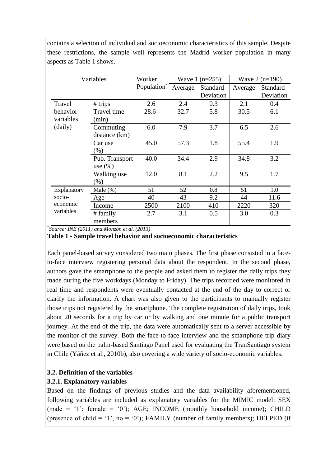| Variables                                      |                    | Worker                  | Wave $1$ (n=255) |                 | Wave $2(n=190)$ |           |
|------------------------------------------------|--------------------|-------------------------|------------------|-----------------|-----------------|-----------|
|                                                |                    | Population <sup>*</sup> | Average          | <b>Standard</b> | Average         | Standard  |
|                                                |                    |                         |                  | Deviation       |                 | Deviation |
| Travel<br>behavior<br>variables<br>(daily)     | $#$ trips          | 2.6                     | 2.4              | 0.3             | 2.1             | 0.4       |
|                                                | <b>Travel</b> time | 28.6                    | 32.7             | 5.8             | 30.5            | 6.1       |
|                                                | (min)              |                         |                  |                 |                 |           |
|                                                | Commuting          | 6.0                     | 7.9              | 3.7             | 6.5             | 2.6       |
|                                                | distance (km)      |                         |                  |                 |                 |           |
|                                                | Car use            | 45.0                    | 57.3             | 1.8             | 55.4            | 1.9       |
|                                                | (% )               |                         |                  |                 |                 |           |
|                                                | Pub. Transport     | 40.0                    | 34.4             | 2.9             | 34.8            | 3.2       |
|                                                | use $(\% )$        |                         |                  |                 |                 |           |
|                                                | Walking use        | 12.0                    | 8.1              | 2.2             | 9.5             | 1.7       |
|                                                | $(\% )$            |                         |                  |                 |                 |           |
| Explanatory<br>socio-<br>economic<br>variables | Male $(\%)$        | 51                      | 52               | 0.8             | 51              | 1.0       |
|                                                | Age                | 40                      | 43               | 9.2             | 44              | 11.6      |
|                                                | Income             | 2500                    | 2100             | 410             | 2220            | 320       |
|                                                | # family           | 2.7                     | 3.1              | 0.5             | 3.0             | 0.3       |
|                                                | members            |                         |                  |                 |                 |           |

contains a selection of individual and socioeconomic characteristics of this sample. Despite these restrictions, the sample well represents the Madrid worker population in many aspects as Table 1 shows.

\* *Source: INE (2011) and Monzón et al. (2013)*

#### **Table 1 - Sample travel behavior and socioeconomic characteristics**

Each panel-based survey considered two main phases. The first phase consisted in a faceto-face interview registering personal data about the respondent. In the second phase, authors gave the smartphone to the people and asked them to register the daily trips they made during the five workdays (Monday to Friday). The trips recorded were monitored in real time and respondents were eventually contacted at the end of the day to correct or clarify the information. A chart was also given to the participants to manually register those trips not registered by the smartphone. The complete registration of daily trips, took about 20 seconds for a trip by car or by walking and one minute for a public transport journey. At the end of the trip, the data were automatically sent to a server accessible by the monitor of the survey. Both the face-to-face interview and the smartphone trip diary were based on the palm-based Santiago Panel used for evaluating the TranSantiago system in Chile (Yáñez et al., 2010b), also covering a wide variety of socio-economic variables.

#### **3.2. Definition of the variables**

#### **3.2.1. Explanatory variables**

Based on the findings of previous studies and the data availability aforementioned, following variables are included as explanatory variables for the MIMIC model: SEX (male = '1'; female = '0'); AGE; INCOME (monthly household income); CHILD (presence of child = '1', no = '0'); FAMILY (number of family members); HELPED (if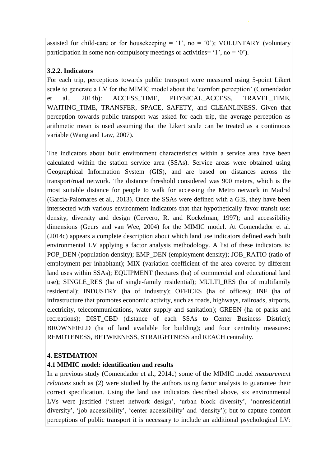assisted for child-care or for housekeeping = '1', no = '0'); VOLUNTARY (voluntary participation in some non-compulsory meetings or activities=  $'1'$ , no =  $'0'$ ).

## **3.2.2. Indicators**

For each trip, perceptions towards public transport were measured using 5-point Likert scale to generate a LV for the MIMIC model about the 'comfort perception' (Comendador et al., 2014b): ACCESS\_TIME, PHYSICAL\_ACCESS, TRAVEL\_TIME, WAITING TIME, TRANSFER, SPACE, SAFETY, and CLEANLINESS. Given that perception towards public transport was asked for each trip, the average perception as arithmetic mean is used assuming that the Likert scale can be treated as a continuous variable (Wang and Law, 2007).

The indicators about built environment characteristics within a service area have been calculated within the station service area (SSAs). Service areas were obtained using Geographical Information System (GIS), and are based on distances across the transport/road network. The distance threshold considered was 900 meters, which is the most suitable distance for people to walk for accessing the Metro network in Madrid (García-Palomares et al., 2013). Once the SSAs were defined with a GIS, they have been intersected with various environment indicators that that hypothetically favor transit use: density, diversity and design (Cervero, R. and Kockelman, 1997); and accessibility dimensions (Geurs and van Wee, 2004) for the MIMIC model. At Comendador et al. (2014c) appears a complete description about which land use indicators defined each built environmental LV applying a factor analysis methodology. A list of these indicators is: POP\_DEN (population density); EMP\_DEN (employment density); JOB\_RATIO (ratio of employment per inhabitant); MIX (variation coefficient of the area covered by different land uses within SSAs); EQUIPMENT (hectares (ha) of commercial and educational land use); SINGLE\_RES (ha of single-family residential); MULTI\_RES (ha of multifamily residential); INDUSTRY (ha of industry); OFFICES (ha of offices); INF (ha of infrastructure that promotes economic activity, such as roads, highways, railroads, airports, electricity, telecommunications, water supply and sanitation); GREEN (ha of parks and recreations); DIST CBD (distance of each SSAs to Center Business District); BROWNFIELD (ha of land available for building); and four centrality measures: REMOTENESS, BETWEENESS, STRAIGHTNESS and REACH centrality.

## **4. ESTIMATION**

## **4.1 MIMIC model: identification and results**

In a previous study (Comendador et al., 2014c) some of the MIMIC model *measurement relations* such as (2) were studied by the authors using factor analysis to guarantee their correct specification. Using the land use indicators described above, six environmental LVs were justified ('street network design', 'urban block diversity', 'nonresidential diversity', 'job accessibility', 'center accessibility' and 'density'); but to capture comfort perceptions of public transport it is necessary to include an additional psychological LV: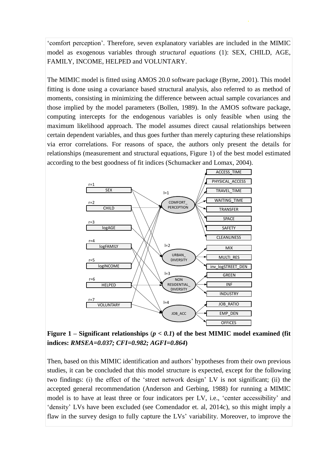'comfort perception'. Therefore, seven explanatory variables are included in the MIMIC model as exogenous variables through *structural equations* (1): SEX, CHILD, AGE, FAMILY, INCOME, HELPED and VOLUNTARY.

The MIMIC model is fitted using AMOS 20.0 software package (Byrne, 2001). This model fitting is done using a covariance based structural analysis, also referred to as method of moments, consisting in minimizing the difference between actual sample covariances and those implied by the model parameters (Bollen, 1989). In the AMOS software package, computing intercepts for the endogenous variables is only feasible when using the maximum likelihood approach. The model assumes direct causal relationships between certain dependent variables, and thus goes further than merely capturing these relationships via error correlations. For reasons of space, the authors only present the details for relationships (measurement and structural equations, Figure 1) of the best model estimated according to the best goodness of fit indices (Schumacker and Lomax, 2004).



**Figure 1** – **Significant** relationships  $(p < 0.1)$  of the best MIMIC model examined (fit **indices:** *RMSEA=0.037; CFI=0.982; AGFI=0.864***)**

Then, based on this MIMIC identification and authors' hypotheses from their own previous studies, it can be concluded that this model structure is expected, except for the following two findings: (i) the effect of the 'street network design' LV is not significant; (ii) the accepted general recommendation (Anderson and Gerbing, 1988) for running a MIMIC model is to have at least three or four indicators per LV, i.e., 'center accessibility' and 'density' LVs have been excluded (see Comendador et. al, 2014c), so this might imply a flaw in the survey design to fully capture the LVs' variability. Moreover, to improve the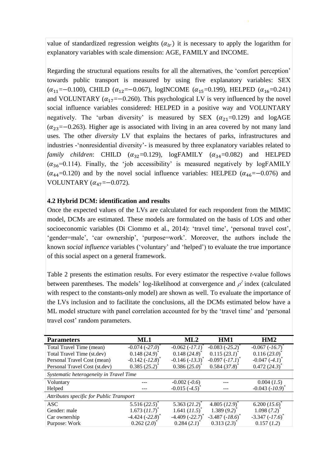value of standardized regression weights  $(\alpha_{lr})$  it is necessary to apply the logarithm for explanatory variables with scale dimension: AGE, FAMILY and INCOME.

Regarding the structural equations results for all the alternatives, the 'comfort perception' towards public transport is measured by using five explanatory variables: SEX  $(\alpha_{11} = -0.100)$ , CHILD  $(\alpha_{12} = -0.067)$ , logINCOME  $(\alpha_{15} = 0.199)$ , HELPED  $(\alpha_{16} = 0.241)$ and VOLUNTARY ( $\alpha_{17} = -0.260$ ). This psychological LV is very influenced by the novel social influence variables considered: HELPED in a positive way and VOLUNTARY negatively. The 'urban diversity' is measured by SEX  $(\alpha_{21}=0.129)$  and logAGE  $(\alpha_{23}=-0.263)$ . Higher age is associated with living in an area covered by not many land uses. The other *diversity* LV that explains the hectares of parks, infrastructures and industries -'nonresidential diversity'- is measured by three explanatory variables related to *family children*: CHILD  $(\alpha_{32} = 0.129)$ , logFAMILY  $(\alpha_{34} = 0.082)$  and HELPED  $(\alpha_{36} = 0.114)$ . Finally, the 'job accessibility' is measured negatively by logFAMILY  $(\alpha_{44} = 0.120)$  and by the novel social influence variables: HELPED  $(\alpha_{46} = -0.076)$  and VOLUNTARY  $(\alpha_{47}=-0.072)$ .

#### **4.2 Hybrid DCM: identification and results**

Once the expected values of the LVs are calculated for each respondent from the MIMIC model, DCMs are estimated. These models are formulated on the basis of LOS and other socioeconomic variables (Di Ciommo et al., 2014): 'travel time', 'personal travel cost', 'gender=male', 'car ownership', 'purpose=work'. Moreover, the authors include the known *social influence* variables ('voluntary' and 'helped') to evaluate the true importance of this social aspect on a general framework.

Table 2 presents the estimation results. For every estimator the respective *t*-value follows between parentheses. The models' log-likelihood at convergence and  $\rho^2$  index (calculated with respect to the constants-only model) are shown as well. To evaluate the importance of the LVs inclusion and to facilitate the conclusions, all the DCMs estimated below have a ML model structure with panel correlation accounted for by the 'travel time' and 'personal travel cost' random parameters.

| <b>Parameters</b>                        | ML1                        | ML2                         | HM1                         | HM2                  |  |  |  |
|------------------------------------------|----------------------------|-----------------------------|-----------------------------|----------------------|--|--|--|
| Total Travel Time (mean)                 | $-0.074 (-27.0)^{*}$       | $-0.062 (-17.1)^{*}$        | $-0.083 (-25.2)^{*}$        | $-0.067(-16.7)$      |  |  |  |
| Total Travel Time (st.dev)               | $0.148(24.9)$ <sup>*</sup> | $0.148(24.8)$ <sup>*</sup>  | $0.115(23.1)^{^{\circ}}$    | 0.116(23.0)          |  |  |  |
| Personal Travel Cost (mean)              | $-0.142 (-12.8)$           | $-0.146 (-13.3)^{*}$        | $-0.097 (-17.1)^{^{\circ}}$ | $-0.047(-4.1)$       |  |  |  |
| Personal Travel Cost (st.dev)            | 0.385(25.2)                | 0.386(25.0)                 | 0.584(37.8)                 | 0.472(24.3)          |  |  |  |
| Systematic heterogeneity in Travel Time  |                            |                             |                             |                      |  |  |  |
| Voluntary                                |                            | $-0.002(-0.6)$              |                             | $0.004$ $(1.5)$      |  |  |  |
| Helped                                   |                            | $-0.015(-4.5)$              |                             | $-0.043 (-10.9)^{4}$ |  |  |  |
| Attributes specific for Public Transport |                            |                             |                             |                      |  |  |  |
| <b>ASC</b>                               | 5.516(22.5)                | 5.363 $(21.2)^{*}$          | 4.805 $(12.9)^{\degree}$    | 6.200 (15.6)         |  |  |  |
| Gender: male                             | 1.673 (11.7)               | 1.641 $(11.5)$ <sup>*</sup> | 1.389(9.2)                  | 1.098(7.2)           |  |  |  |
| Car ownership                            | $-4.424(-22.8)$            | $-4.409(-22.7)$             | $-3.487 (-18.6)^*$          | $-3.347 (-17.6)^{*}$ |  |  |  |
| Purpose: Work                            | 0.262(2.0)                 | 0.284(2.1)                  | 0.313(2.3)                  | 0.157(1.2)           |  |  |  |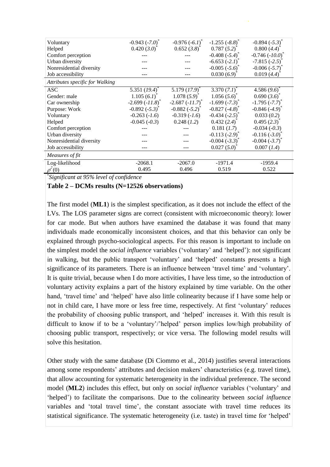| Voluntary                       | $-0.943(-7.0)$      | $-0.976(-6.1)^{*}$         | $-1.255(-8.8)$     | $-0.894(-5.3)$            |
|---------------------------------|---------------------|----------------------------|--------------------|---------------------------|
| Helped                          | $0.420(3.0)^{*}$    | $0.652(3.8)^{*}$           | 0.787(5.2)         | 0.800(4.4)                |
| Comfort perception              |                     |                            | $-0.408(-5.4)^{*}$ | $-0.746 (-10.0)^{*}$      |
| Urban diversity                 |                     |                            | $-6.653(-2.1)$     | $-7.815(-2.5)$            |
| Nonresidential diversity        |                     |                            | $-0.005(-5.6)$     | $-0.006(-5.7)$            |
| Job accessibility               |                     |                            | 0.030(6.9)         | 0.019(4.4)                |
| Attributes specific for Walking |                     |                            |                    |                           |
| <b>ASC</b>                      | 5.351 $(19.4)$      | $5.179(17.9)$ <sup>*</sup> | 3.370 $(7.1)^{*}$  | 4.586(9.6)                |
| Gender: male                    | $1.105(6.1)^{*}$    | 1.078(5.9)                 | $1.056(5.6)^{*}$   | 0.690(3.6)                |
| Car ownership                   | $-2.699(-11.8)^{*}$ | $-2.687(-11.7)^{*}$        | $-1.699(-7.3)^{*}$ | $-1.795 (-7.7)$           |
| Purpose: Work                   | $-0.892(-5.3)^{*}$  | $-0.882 (-5.2)^{*}$        | $-0.827(-4.8)$     | $-0.846(-4.9)$            |
| Voluntary                       | $-0.263(-1.6)$      | $-0.319(-1.6)$             | $-0.434(-2.5)$     | 0.033(0.2)                |
| Helped                          | $-0.045(-0.3)$      | 0.248(1.2)                 | 0.432(2.4)         | $0.495(2.3)^{*}$          |
| Comfort perception              |                     |                            | 0.181 (1.7)        | $-0.034(-0.3)$            |
| Urban diversity                 |                     |                            | $-0.113(-2.9)$     | $-0.116(-3.0)$            |
| Nonresidential diversity        |                     |                            | $-0.004(-3.3)$     | $-0.004(-3.7)^{^{\circ}}$ |
| Job accessibility               |                     |                            | 0.027(5.0)         | $0.007$ $(1.4)$           |
| Measures of fit                 |                     |                            |                    |                           |
| Log-likelihood                  | $-2068.1$           | $-2067.0$                  | $-1971.4$          | $-1959.4$                 |
| $\rho^2(0)$                     | 0.495               | 0.496                      | 0.519              | 0.522                     |

\* *Significant at 95% level of confidence*

#### **Table 2 – DCMs results (N=12526 observations)**

The first model (**ML1**) is the simplest specification, as it does not include the effect of the LVs. The LOS parameter signs are correct (consistent with microeconomic theory): lower for car mode. But when authors have examined the database it was found that many individuals made economically inconsistent choices, and that this behavior can only be explained through psycho-sociological aspects. For this reason is important to include on the simplest model the *social influence* variables ('voluntary' and 'helped'): not significant in walking, but the public transport 'voluntary' and 'helped' constants presents a high significance of its parameters. There is an influence between 'travel time' and 'voluntary'. It is quite trivial, because when I do more activities, I have less time, so the introduction of voluntary activity explains a part of the history explained by time variable. On the other hand, 'travel time' and 'helped' have also little colinearity because if I have some help or not in child care, I have more or less free time, respectively. At first 'voluntary' reduces the probability of choosing public transport, and 'helped' increases it. With this result is difficult to know if to be a 'voluntary'/'helped' person implies low/high probability of choosing public transport, respectively; or vice versa. The following model results will solve this hesitation.

Other study with the same database (Di Ciommo et al., 2014) justifies several interactions among some respondents' attributes and decision makers' characteristics (e.g. travel time), that allow accounting for systematic heterogeneity in the individual preference. The second model (**ML2**) includes this effect, but only on *social influence* variables ('voluntary' and 'helped') to facilitate the comparisons. Due to the colinearity between *social influence* variables and 'total travel time', the constant associate with travel time reduces its statistical significance. The systematic heterogeneity (i.e. taste) in travel time for 'helped'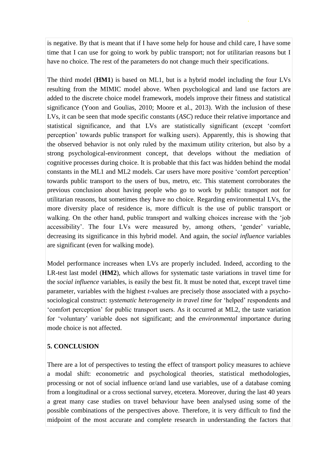is negative. By that is meant that if I have some help for house and child care, I have some time that I can use for going to work by public transport; not for utilitarian reasons but I have no choice. The rest of the parameters do not change much their specifications.

The third model (**HM1**) is based on ML1, but is a hybrid model including the four LVs resulting from the MIMIC model above. When psychological and land use factors are added to the discrete choice model framework, models improve their fitness and statistical significance (Yoon and Goulias, 2010; Moore et al., 2013). With the inclusion of these LVs, it can be seen that mode specific constants (*ASC*) reduce their relative importance and statistical significance, and that LVs are statistically significant (except 'comfort perception' towards public transport for walking users). Apparently, this is showing that the observed behavior is not only ruled by the maximum utility criterion, but also by a strong psychological-environment concept, that develops without the mediation of cognitive processes during choice. It is probable that this fact was hidden behind the modal constants in the ML1 and ML2 models. Car users have more positive 'comfort perception' towards public transport to the users of bus, metro, etc. This statement corroborates the previous conclusion about having people who go to work by public transport not for utilitarian reasons, but sometimes they have no choice. Regarding environmental LVs, the more diversity place of residence is, more difficult is the use of public transport or walking. On the other hand, public transport and walking choices increase with the 'job accessibility'. The four LVs were measured by, among others, 'gender' variable, decreasing its significance in this hybrid model. And again, the *social influence* variables are significant (even for walking mode).

Model performance increases when LVs are properly included. Indeed, according to the LR-test last model (**HM2**), which allows for systematic taste variations in travel time for the *social influence* variables, is easily the best fit. It must be noted that, except travel time parameter, variables with the highest *t*-values are precisely those associated with a psychosociological construct: *systematic heterogeneity in travel time* for 'helped' respondents and 'comfort perception' for public transport users. As it occurred at ML2, the taste variation for 'voluntary' variable does not significant; and the *environmental* importance during mode choice is not affected.

## **5. CONCLUSION**

There are a lot of perspectives to testing the effect of transport policy measures to achieve a modal shift: econometric and psychological theories, statistical methodologies, processing or not of social influence or/and land use variables, use of a database coming from a longitudinal or a cross sectional survey, etcetera. Moreover, during the last 40 years a great many case studies on travel behaviour have been analysed using some of the possible combinations of the perspectives above. Therefore, it is very difficult to find the midpoint of the most accurate and complete research in understanding the factors that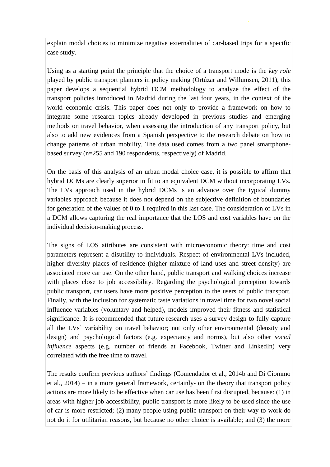explain modal choices to minimize negative externalities of car-based trips for a specific case study.

Using as a starting point the principle that the choice of a transport mode is the *key role* played by public transport planners in policy making (Ortúzar and Willumsen, 2011), this paper develops a sequential hybrid DCM methodology to analyze the effect of the transport policies introduced in Madrid during the last four years, in the context of the world economic crisis. This paper does not only to provide a framework on how to integrate some research topics already developed in previous studies and emerging methods on travel behavior, when assessing the introduction of any transport policy, but also to add new evidences from a Spanish perspective to the research debate on how to change patterns of urban mobility. The data used comes from a two panel smartphonebased survey (n=255 and 190 respondents, respectively) of Madrid.

On the basis of this analysis of an urban modal choice case, it is possible to affirm that hybrid DCMs are clearly superior in fit to an equivalent DCM without incorporating LVs. The LVs approach used in the hybrid DCMs is an advance over the typical dummy variables approach because it does not depend on the subjective definition of boundaries for generation of the values of 0 to 1 required in this last case. The consideration of LVs in a DCM allows capturing the real importance that the LOS and cost variables have on the individual decision-making process.

The signs of LOS attributes are consistent with microeconomic theory: time and cost parameters represent a disutility to individuals. Respect of environmental LVs included, higher diversity places of residence (higher mixture of land uses and street density) are associated more car use. On the other hand, public transport and walking choices increase with places close to job accessibility. Regarding the psychological perception towards public transport, car users have more positive perception to the users of public transport. Finally, with the inclusion for systematic taste variations in travel time for two novel social influence variables (voluntary and helped), models improved their fitness and statistical significance. It is recommended that future research uses a survey design to fully capture all the LVs' variability on travel behavior; not only other environmental (density and design) and psychological factors (e.g. expectancy and norms), but also other *social influence* aspects (e.g. number of friends at Facebook, Twitter and LinkedIn) very correlated with the free time to travel.

The results confirm previous authors' findings (Comendador et al., 2014b and Di Ciommo et al., 2014) – in a more general framework, certainly- on the theory that transport policy actions are more likely to be effective when car use has been first disrupted, because: (1) in areas with higher job accessibility, public transport is more likely to be used since the use of car is more restricted; (2) many people using public transport on their way to work do not do it for utilitarian reasons, but because no other choice is available; and (3) the more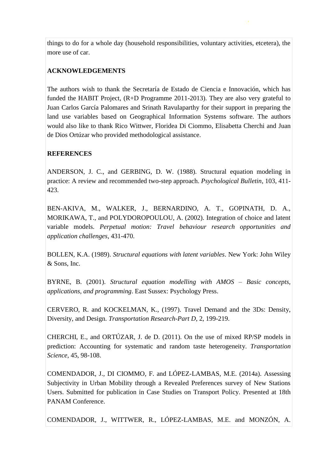things to do for a whole day (household responsibilities, voluntary activities, etcetera), the more use of car.

# **ACKNOWLEDGEMENTS**

The authors wish to thank the Secretaría de Estado de Ciencia e Innovación, which has funded the HABIT Project, (R+D Programme 2011-2013). They are also very grateful to Juan Carlos García Palomares and Srinath Ravulaparthy for their support in preparing the land use variables based on Geographical Information Systems software. The authors would also like to thank Rico Wittwer, Floridea Di Ciommo, Elisabetta Cherchi and Juan de Dios Ortúzar who provided methodological assistance.

## **REFERENCES**

ANDERSON, J. C., and GERBING, D. W. (1988). Structural equation modeling in practice: A review and recommended two-step approach. *Psychological Bulletin*, 103, 411- 423.

BEN-AKIVA, M., WALKER, J., BERNARDINO, A. T., GOPINATH, D. A., MORIKAWA, T., and POLYDOROPOULOU, A. (2002). Integration of choice and latent variable models. *Perpetual motion: Travel behaviour research opportunities and application challenges*, 431-470.

BOLLEN, K.A. (1989). *Structural equations with latent variables*. New York: John Wiley & Sons, Inc.

BYRNE, B. (2001). *Structural equation modelling with AMOS – Basic concepts, applications, and programming*. East Sussex: Psychology Press.

CERVERO, R. and KOCKELMAN, K., (1997). Travel Demand and the 3Ds: Density, Diversity, and Design. *Transportation Research-Part D*, 2, 199-219.

CHERCHI, E., and ORTÚZAR, J. de D. (2011). On the use of mixed RP/SP models in prediction: Accounting for systematic and random taste heterogeneity. *Transportation Science*, 45, 98-108.

COMENDADOR, J., DI CIOMMO, F. and LÓPEZ-LAMBAS, M.E. (2014a). Assessing Subjectivity in Urban Mobility through a Revealed Preferences survey of New Stations Users. Submitted for publication in Case Studies on Transport Policy. Presented at 18th PANAM Conference.

COMENDADOR, J., WITTWER, R., LÓPEZ-LAMBAS, M.E. and MONZÓN, A.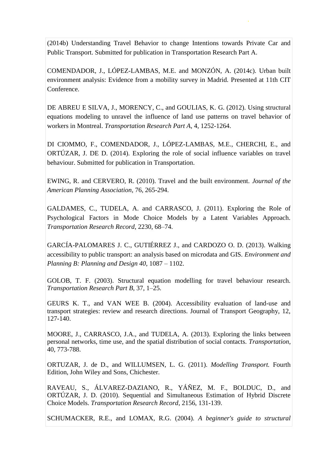(2014b) Understanding Travel Behavior to change Intentions towards Private Car and Public Transport. Submitted for publication in Transportation Research Part A.

COMENDADOR, J., LÓPEZ-LAMBAS, M.E. and MONZÓN, A. (2014c). Urban built environment analysis: Evidence from a mobility survey in Madrid. Presented at 11th CIT Conference.

DE ABREU E SILVA, J., MORENCY, C., and GOULIAS, K. G. (2012). Using structural equations modeling to unravel the influence of land use patterns on travel behavior of workers in Montreal. *Transportation Research Part A*, 4, 1252-1264.

DI CIOMMO, F., COMENDADOR, J., LÓPEZ-LAMBAS, M.E., CHERCHI, E., and ORTÚZAR, J. DE D. (2014). Exploring the role of social influence variables on travel behaviour. Submitted for publication in Transportation.

EWING, R. and CERVERO, R. (2010). Travel and the built environment. *Journal of the American Planning Association*, 76, 265-294.

GALDAMES, C., TUDELA, A. and CARRASCO, J. (2011). Exploring the Role of Psychological Factors in Mode Choice Models by a Latent Variables Approach. *Transportation Research Record*, 2230, 68–74.

GARCÍA-PALOMARES J. C., GUTIÉRREZ J., and CARDOZO O. D. (2013). Walking accessibility to public transport: an analysis based on microdata and GIS. *Environment and Planning B: Planning and Design 40*, 1087 – 1102.

GOLOB, T. F. (2003). Structural equation modelling for travel behaviour research. *Transportation Research Part B*, 37, 1–25.

GEURS K. T., and VAN WEE B. (2004). Accessibility evaluation of land-use and transport strategies: review and research directions. Journal of Transport Geography, 12, 127-140.

MOORE, J., CARRASCO, J.A., and TUDELA, A. (2013). Exploring the links between personal networks, time use, and the spatial distribution of social contacts. *Transportation*, 40, 773-788.

ORTUZAR, J. de D., and WILLUMSEN, L. G. (2011). *Modelling Transport.* Fourth Edition, John Wiley and Sons, Chichester.

RAVEAU, S., ÁLVAREZ-DAZIANO, R., YÁÑEZ, M. F., BOLDUC, D., and ORTÚZAR, J. D. (2010). Sequential and Simultaneous Estimation of Hybrid Discrete Choice Models. *Transportation Research Record*, 2156, 131-139.

SCHUMACKER, R.E., and LOMAX, R.G. (2004). *A beginner's guide to structural*